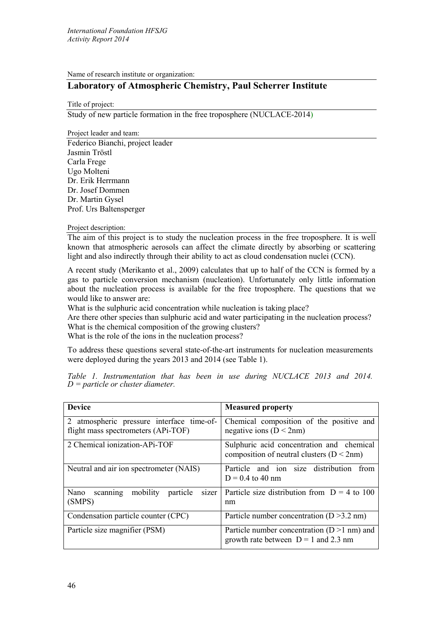Name of research institute or organization:

# **Laboratory of Atmospheric Chemistry, Paul Scherrer Institute**

Title of project:

Study of new particle formation in the free troposphere (NUCLACE-2014)

Project leader and team: Federico Bianchi, project leader Jasmin Tröstl Carla Frege Ugo Molteni Dr. Erik Herrmann Dr. Josef Dommen Dr. Martin Gysel Prof. Urs Baltensperger

Project description:

The aim of this project is to study the nucleation process in the free troposphere. It is well known that atmospheric aerosols can affect the climate directly by absorbing or scattering light and also indirectly through their ability to act as cloud condensation nuclei (CCN).

A recent study (Merikanto et al., 2009) calculates that up to half of the CCN is formed by a gas to particle conversion mechanism (nucleation). Unfortunately only little information about the nucleation process is available for the free troposphere. The questions that we would like to answer are:

What is the sulphuric acid concentration while nucleation is taking place?

Are there other species than sulphuric acid and water participating in the nucleation process? What is the chemical composition of the growing clusters?

What is the role of the ions in the nucleation process?

To address these questions several state-of-the-art instruments for nucleation measurements were deployed during the years 2013 and 2014 (see Table 1).

| <b>Device</b>                                     | <b>Measured property</b>                       |
|---------------------------------------------------|------------------------------------------------|
| 2 atmospheric pressure interface time-of-         | Chemical composition of the positive and       |
| flight mass spectrometers (APi-TOF)               | negative ions ( $D < 2nm$ )                    |
| 2 Chemical ionization-APi-TOF                     | Sulphuric acid concentration and chemical      |
|                                                   | composition of neutral clusters ( $D < 2nm$ )  |
| Neutral and air ion spectrometer (NAIS)           | Particle and ion size distribution<br>from     |
|                                                   | $D = 0.4$ to 40 nm                             |
| mobility<br>Nano<br>particle<br>sizer<br>scanning | Particle size distribution from $D = 4$ to 100 |
| (SMPS)                                            | nm                                             |
| Condensation particle counter (CPC)               | Particle number concentration $(D > 3.2$ nm)   |
| Particle size magnifier (PSM)                     | Particle number concentration $(D>1$ nm) and   |
|                                                   | growth rate between $D = 1$ and 2.3 nm         |

*Table 1. Instrumentation that has been in use during NUCLACE 2013 and 2014. D <sup>=</sup> particle or cluster diameter.*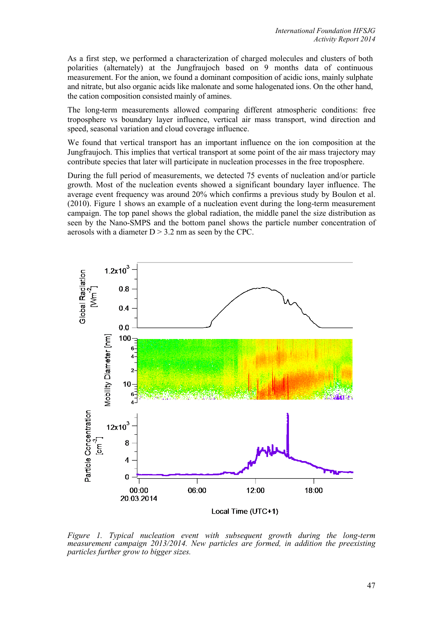As a first step, we performed a characterization of charged molecules and clusters of both polarities (alternately) at the Jungfraujoch based on 9 months data of continuous measurement. For the anion, we found a dominant composition of acidic ions, mainly sulphate and nitrate, but also organic acids like malonate and some halogenated ions. On the other hand, the cation composition consisted mainly of amines.

The long-term measurements allowed comparing different atmospheric conditions: free troposphere vs boundary layer influence, vertical air mass transport, wind direction and speed, seasonal variation and cloud coverage influence.

We found that vertical transport has an important influence on the ion composition at the Jungfraujoch. This implies that vertical transport at some point of the air mass trajectory may contribute species that later will participate in nucleation processes in the free troposphere.

During the full period of measurements, we detected 75 events of nucleation and/or particle growth. Most of the nucleation events showed a significant boundary layer influence. The average event frequency was around 20% which confirms a previous study by Boulon et al. (2010). Figure 1 shows an example of a nucleation event during the long-term measurement campaign. The top panel shows the global radiation, the middle panel the size distribution as seen by the Nano-SMPS and the bottom panel shows the particle number concentration of aerosols with a diameter  $D > 3.2$  nm as seen by the CPC.



*Figure 1. Typical nucleation event with subsequent growth during the long-term measurement campaign 2013/2014. New particles are formed, in addition the preexisting particles further grow to bigger sizes.*